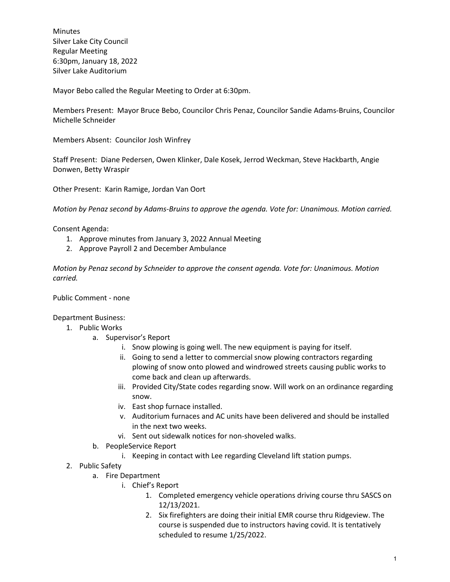**Minutes** Silver Lake City Council Regular Meeting 6:30pm, January 18, 2022 Silver Lake Auditorium

Mayor Bebo called the Regular Meeting to Order at 6:30pm.

Members Present: Mayor Bruce Bebo, Councilor Chris Penaz, Councilor Sandie Adams-Bruins, Councilor Michelle Schneider

Members Absent: Councilor Josh Winfrey

Staff Present: Diane Pedersen, Owen Klinker, Dale Kosek, Jerrod Weckman, Steve Hackbarth, Angie Donwen, Betty Wraspir

Other Present: Karin Ramige, Jordan Van Oort

*Motion by Penaz second by Adams-Bruins to approve the agenda. Vote for: Unanimous. Motion carried.*

Consent Agenda:

- 1. Approve minutes from January 3, 2022 Annual Meeting
- 2. Approve Payroll 2 and December Ambulance

*Motion by Penaz second by Schneider to approve the consent agenda. Vote for: Unanimous. Motion carried.*

Public Comment - none

Department Business:

- 1. Public Works
	- a. Supervisor's Report
		- i. Snow plowing is going well. The new equipment is paying for itself.
		- ii. Going to send a letter to commercial snow plowing contractors regarding plowing of snow onto plowed and windrowed streets causing public works to come back and clean up afterwards.
		- iii. Provided City/State codes regarding snow. Will work on an ordinance regarding snow.
		- iv. East shop furnace installed.
		- v. Auditorium furnaces and AC units have been delivered and should be installed in the next two weeks.
		- vi. Sent out sidewalk notices for non-shoveled walks.
	- b. PeopleService Report
		- i. Keeping in contact with Lee regarding Cleveland lift station pumps.
- 2. Public Safety
	- a. Fire Department
		- i. Chief's Report
			- 1. Completed emergency vehicle operations driving course thru SASCS on 12/13/2021.
			- 2. Six firefighters are doing their initial EMR course thru Ridgeview. The course is suspended due to instructors having covid. It is tentatively scheduled to resume 1/25/2022.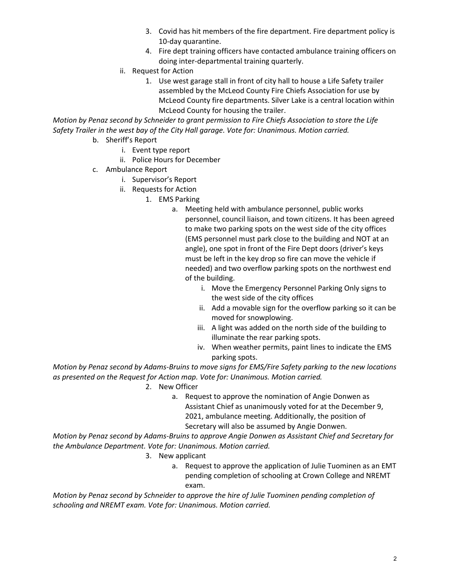- 3. Covid has hit members of the fire department. Fire department policy is 10-day quarantine.
- 4. Fire dept training officers have contacted ambulance training officers on doing inter-departmental training quarterly.
- ii. Request for Action
	- 1. Use west garage stall in front of city hall to house a Life Safety trailer assembled by the McLeod County Fire Chiefs Association for use by McLeod County fire departments. Silver Lake is a central location within McLeod County for housing the trailer.

*Motion by Penaz second by Schneider to grant permission to Fire Chiefs Association to store the Life Safety Trailer in the west bay of the City Hall garage. Vote for: Unanimous. Motion carried.*

- b. Sheriff's Report
	- i. Event type report
	- ii. Police Hours for December
- c. Ambulance Report
	- i. Supervisor's Report
	- ii. Requests for Action
		- 1. EMS Parking
			- a. Meeting held with ambulance personnel, public works personnel, council liaison, and town citizens. It has been agreed to make two parking spots on the west side of the city offices (EMS personnel must park close to the building and NOT at an angle), one spot in front of the Fire Dept doors (driver's keys must be left in the key drop so fire can move the vehicle if needed) and two overflow parking spots on the northwest end of the building.
				- i. Move the Emergency Personnel Parking Only signs to the west side of the city offices
				- ii. Add a movable sign for the overflow parking so it can be moved for snowplowing.
				- iii. A light was added on the north side of the building to illuminate the rear parking spots.
				- iv. When weather permits, paint lines to indicate the EMS parking spots.

*Motion by Penaz second by Adams-Bruins to move signs for EMS/Fire Safety parking to the new locations as presented on the Request for Action map. Vote for: Unanimous. Motion carried.*

- 2. New Officer
	- a. Request to approve the nomination of Angie Donwen as Assistant Chief as unanimously voted for at the December 9, 2021, ambulance meeting. Additionally, the position of Secretary will also be assumed by Angie Donwen.

*Motion by Penaz second by Adams-Bruins to approve Angie Donwen as Assistant Chief and Secretary for the Ambulance Department. Vote for: Unanimous. Motion carried.*

- 3. New applicant
	- a. Request to approve the application of Julie Tuominen as an EMT pending completion of schooling at Crown College and NREMT exam.

*Motion by Penaz second by Schneider to approve the hire of Julie Tuominen pending completion of schooling and NREMT exam. Vote for: Unanimous. Motion carried.*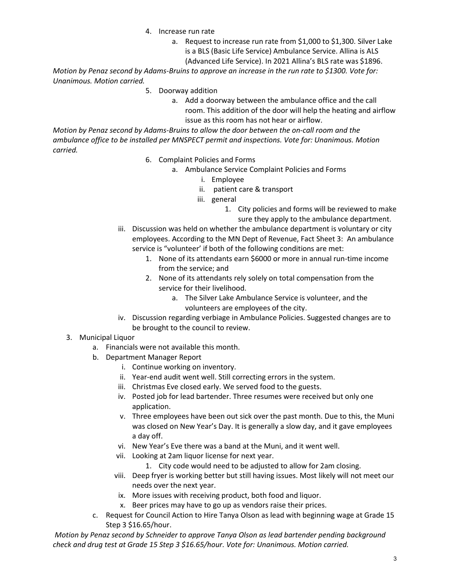- 4. Increase run rate
	- a. Request to increase run rate from \$1,000 to \$1,300. Silver Lake is a BLS (Basic Life Service) Ambulance Service. Allina is ALS
		- (Advanced Life Service). In 2021 Allina's BLS rate was \$1896.

*Motion by Penaz second by Adams-Bruins to approve an increase in the run rate to \$1300. Vote for: Unanimous. Motion carried.*

- 5. Doorway addition
	- a. Add a doorway between the ambulance office and the call room. This addition of the door will help the heating and airflow issue as this room has not hear or airflow.

*Motion by Penaz second by Adams-Bruins to allow the door between the on-call room and the ambulance office to be installed per MNSPECT permit and inspections. Vote for: Unanimous. Motion carried.*

- 6. Complaint Policies and Forms
	- a. Ambulance Service Complaint Policies and Forms
		- i. Employee
		- ii. patient care & transport
		- iii. general
			- 1. City policies and forms will be reviewed to make sure they apply to the ambulance department.
- iii. Discussion was held on whether the ambulance department is voluntary or city employees. According to the MN Dept of Revenue, Fact Sheet 3: An ambulance service is "volunteer' if both of the following conditions are met:
	- 1. None of its attendants earn \$6000 or more in annual run-time income from the service; and
	- 2. None of its attendants rely solely on total compensation from the service for their livelihood.
		- a. The Silver Lake Ambulance Service is volunteer, and the volunteers are employees of the city.
- iv. Discussion regarding verbiage in Ambulance Policies. Suggested changes are to be brought to the council to review.
- 3. Municipal Liquor
	- a. Financials were not available this month.
	- b. Department Manager Report
		- i. Continue working on inventory.
		- ii. Year-end audit went well. Still correcting errors in the system.
		- iii. Christmas Eve closed early. We served food to the guests.
		- iv. Posted job for lead bartender. Three resumes were received but only one application.
		- v. Three employees have been out sick over the past month. Due to this, the Muni was closed on New Year's Day. It is generally a slow day, and it gave employees a day off.
		- vi. New Year's Eve there was a band at the Muni, and it went well.
		- vii. Looking at 2am liquor license for next year.
			- 1. City code would need to be adjusted to allow for 2am closing.
		- viii. Deep fryer is working better but still having issues. Most likely will not meet our needs over the next year.
			- ix. More issues with receiving product, both food and liquor.
			- x. Beer prices may have to go up as vendors raise their prices.
	- c. Request for Council Action to Hire Tanya Olson as lead with beginning wage at Grade 15 Step 3 \$16.65/hour.

*Motion by Penaz second by Schneider to approve Tanya Olson as lead bartender pending background check and drug test at Grade 15 Step 3 \$16.65/hour. Vote for: Unanimous. Motion carried.*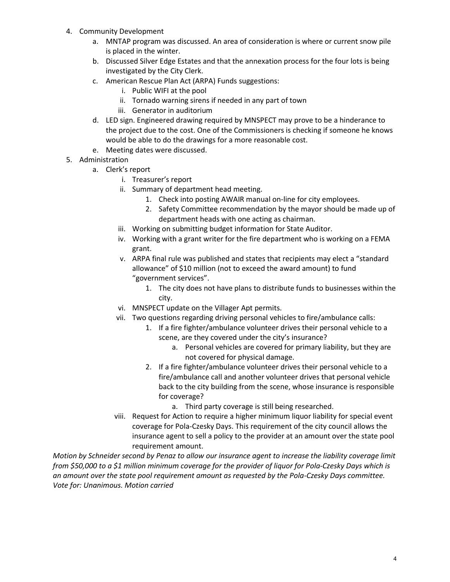- 4. Community Development
	- a. MNTAP program was discussed. An area of consideration is where or current snow pile is placed in the winter.
	- b. Discussed Silver Edge Estates and that the annexation process for the four lots is being investigated by the City Clerk.
	- c. American Rescue Plan Act (ARPA) Funds suggestions:
		- i. Public WIFI at the pool
		- ii. Tornado warning sirens if needed in any part of town
		- iii. Generator in auditorium
	- d. LED sign. Engineered drawing required by MNSPECT may prove to be a hinderance to the project due to the cost. One of the Commissioners is checking if someone he knows would be able to do the drawings for a more reasonable cost.
	- e. Meeting dates were discussed.
- 5. Administration
	- a. Clerk's report
		- i. Treasurer's report
		- ii. Summary of department head meeting.
			- 1. Check into posting AWAIR manual on-line for city employees.
			- 2. Safety Committee recommendation by the mayor should be made up of department heads with one acting as chairman.
		- iii. Working on submitting budget information for State Auditor.
		- iv. Working with a grant writer for the fire department who is working on a FEMA grant.
		- v. ARPA final rule was published and states that recipients may elect a "standard allowance" of \$10 million (not to exceed the award amount) to fund "government services".
			- 1. The city does not have plans to distribute funds to businesses within the city.
		- vi. MNSPECT update on the Villager Apt permits.
		- vii. Two questions regarding driving personal vehicles to fire/ambulance calls:
			- 1. If a fire fighter/ambulance volunteer drives their personal vehicle to a scene, are they covered under the city's insurance?
				- a. Personal vehicles are covered for primary liability, but they are not covered for physical damage.
			- 2. If a fire fighter/ambulance volunteer drives their personal vehicle to a fire/ambulance call and another volunteer drives that personal vehicle back to the city building from the scene, whose insurance is responsible for coverage?
				- a. Third party coverage is still being researched.
		- viii. Request for Action to require a higher minimum liquor liability for special event coverage for Pola-Czesky Days. This requirement of the city council allows the insurance agent to sell a policy to the provider at an amount over the state pool requirement amount.

*Motion by Schneider second by Penaz to allow our insurance agent to increase the liability coverage limit from \$50,000 to a \$1 million minimum coverage for the provider of liquor for Pola-Czesky Days which is an amount over the state pool requirement amount as requested by the Pola-Czesky Days committee. Vote for: Unanimous. Motion carried*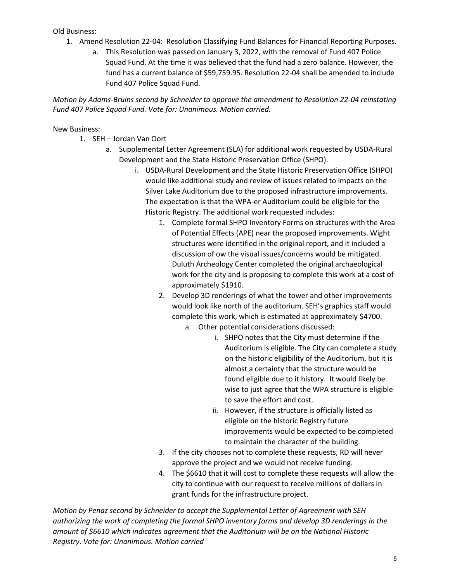Old Business:

- 1. Amend Resolution 22-04: Resolution Classifying Fund Balances for Financial Reporting Purposes.
	- a. This Resolution was passed on January 3, 2022, with the removal of Fund 407 Police Squad Fund. At the time it was believed that the fund had a zero balance. However, the fund has a current balance of \$59,759.95. Resolution 22-04 shall be amended to include Fund 407 Police Squad Fund.

*Motion by Adams-Bruins second by Schneider to approve the amendment to Resolution 22-04 reinstating Fund 407 Police Squad Fund. Vote for: Unanimous. Motion carried.*

## New Business:

- 1. SEH Jordan Van Oort
	- a. Supplemental Letter Agreement (SLA) for additional work requested by USDA-Rural Development and the State Historic Preservation Office (SHPO).
		- i. USDA-Rural Development and the State Historic Preservation Office (SHPO) would like additional study and review of issues related to impacts on the Silver Lake Auditorium due to the proposed infrastructure improvements. The expectation is that the WPA-er Auditorium could be eligible for the Historic Registry. The additional work requested includes:
			- 1. Complete formal SHPO Inventory Forms on structures with the Area of Potential Effects (APE) near the proposed improvements. Wight structures were identified in the original report, and it included a discussion of ow the visual issues/concerns would be mitigated. Duluth Archeology Center completed the original archaeological work for the city and is proposing to complete this work at a cost of approximately \$1910.
			- 2. Develop 3D renderings of what the tower and other improvements would look like north of the auditorium. SEH's graphics staff would complete this work, which is estimated at approximately \$4700.
				- a. Other potential considerations discussed:
					- i. SHPO notes that the City must determine if the Auditorium is eligible. The City can complete a study on the historic eligibility of the Auditorium, but it is almost a certainty that the structure would be found eligible due to it history. It would likely be wise to just agree that the WPA structure is eligible to save the effort and cost.
					- ii. However, if the structure is officially listed as eligible on the historic Registry future improvements would be expected to be completed to maintain the character of the building.
			- 3. If the city chooses not to complete these requests, RD will never approve the project and we would not receive funding.
			- 4. The \$6610 that it will cost to complete these requests will allow the city to continue with our request to receive millions of dollars in grant funds for the infrastructure project.

*Motion by Penaz second by Schneider to accept the Supplemental Letter of Agreement with SEH authorizing the work of completing the formal SHPO inventory forms and develop 3D renderings in the amount of \$6610 which indicates agreement that the Auditorium will be on the National Historic Registry. Vote for: Unanimous. Motion carried*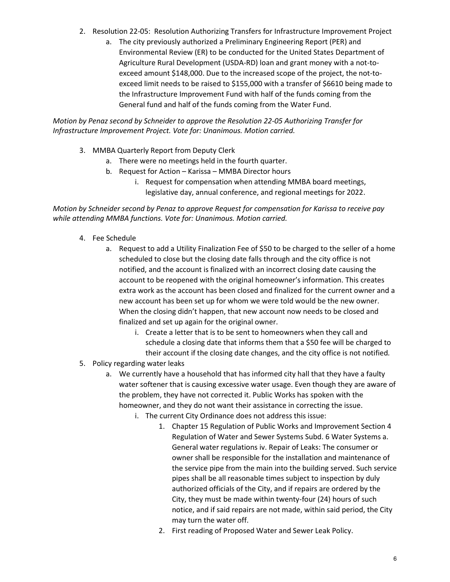- 2. Resolution 22-05: Resolution Authorizing Transfers for Infrastructure Improvement Project
	- a. The city previously authorized a Preliminary Engineering Report (PER) and Environmental Review (ER) to be conducted for the United States Department of Agriculture Rural Development (USDA-RD) loan and grant money with a not-toexceed amount \$148,000. Due to the increased scope of the project, the not-toexceed limit needs to be raised to \$155,000 with a transfer of \$6610 being made to the Infrastructure Improvement Fund with half of the funds coming from the General fund and half of the funds coming from the Water Fund.

*Motion by Penaz second by Schneider to approve the Resolution 22-05 Authorizing Transfer for Infrastructure Improvement Project. Vote for: Unanimous. Motion carried.*

- 3. MMBA Quarterly Report from Deputy Clerk
	- a. There were no meetings held in the fourth quarter.
	- b. Request for Action Karissa MMBA Director hours
		- i. Request for compensation when attending MMBA board meetings, legislative day, annual conference, and regional meetings for 2022.

*Motion by Schneider second by Penaz to approve Request for compensation for Karissa to receive pay while attending MMBA functions. Vote for: Unanimous. Motion carried.*

- 4. Fee Schedule
	- a. Request to add a Utility Finalization Fee of \$50 to be charged to the seller of a home scheduled to close but the closing date falls through and the city office is not notified, and the account is finalized with an incorrect closing date causing the account to be reopened with the original homeowner's information. This creates extra work as the account has been closed and finalized for the current owner and a new account has been set up for whom we were told would be the new owner. When the closing didn't happen, that new account now needs to be closed and finalized and set up again for the original owner.
		- i. Create a letter that is to be sent to homeowners when they call and schedule a closing date that informs them that a \$50 fee will be charged to their account if the closing date changes, and the city office is not notified*.*
- 5. Policy regarding water leaks
	- a. We currently have a household that has informed city hall that they have a faulty water softener that is causing excessive water usage. Even though they are aware of the problem, they have not corrected it. Public Works has spoken with the homeowner, and they do not want their assistance in correcting the issue.
		- i. The current City Ordinance does not address this issue:
			- 1. Chapter 15 Regulation of Public Works and Improvement Section 4 Regulation of Water and Sewer Systems Subd. 6 Water Systems a. General water regulations iv. Repair of Leaks: The consumer or owner shall be responsible for the installation and maintenance of the service pipe from the main into the building served. Such service pipes shall be all reasonable times subject to inspection by duly authorized officials of the City, and if repairs are ordered by the City, they must be made within twenty-four (24) hours of such notice, and if said repairs are not made, within said period, the City may turn the water off.
			- 2. First reading of Proposed Water and Sewer Leak Policy.